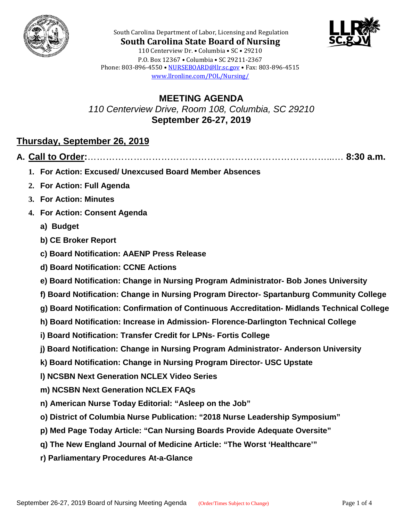



**South Carolina State Board of Nursing** 110 Centerview Dr. • Columbia • SC • 29210 P.O. Box 12367 • Columbia • SC 29211-2367 Phone: 803-896-4550 • [NURSEBOARD@llr.sc.gov](mailto:contactllr@llr.sc.gov) • Fax: 803-896-4515 [www.llronline.com/POL/Nursing/](http://www.llronline.com/POL/Nursing/)

South Carolina Department of Labor, Licensing and Regulation

**MEETING AGENDA** *110 Centerview Drive, Room 108, Columbia, SC 29210* **September 26-27, 2019**

## **Thursday, September 26, 2019**

|--|--|--|

- **1. For Action: Excused/ Unexcused Board Member Absences**
- **2. For Action: Full Agenda**
- **3. For Action: Minutes**
- **4. For Action: Consent Agenda**
	- **a) Budget**
	- **b) CE Broker Report**
	- **c) Board Notification: AAENP Press Release**
	- **d) Board Notification: CCNE Actions**
	- **e) Board Notification: Change in Nursing Program Administrator- Bob Jones University**
	- **f) Board Notification: Change in Nursing Program Director- Spartanburg Community College**
	- **g) Board Notification: Confirmation of Continuous Accreditation- Midlands Technical College**
	- **h) Board Notification: Increase in Admission- Florence-Darlington Technical College**
	- **i) Board Notification: Transfer Credit for LPNs- Fortis College**
	- **j) Board Notification: Change in Nursing Program Administrator- Anderson University**
	- **k) Board Notification: Change in Nursing Program Director- USC Upstate**
	- **l) NCSBN Next Generation NCLEX Video Series**
	- **m) NCSBN Next Generation NCLEX FAQs**
	- **n) American Nurse Today Editorial: "Asleep on the Job"**
	- **o) District of Columbia Nurse Publication: "2018 Nurse Leadership Symposium"**
	- **p) Med Page Today Article: "Can Nursing Boards Provide Adequate Oversite"**
	- **q) The New England Journal of Medicine Article: "The Worst 'Healthcare'"**
	- **r) Parliamentary Procedures At-a-Glance**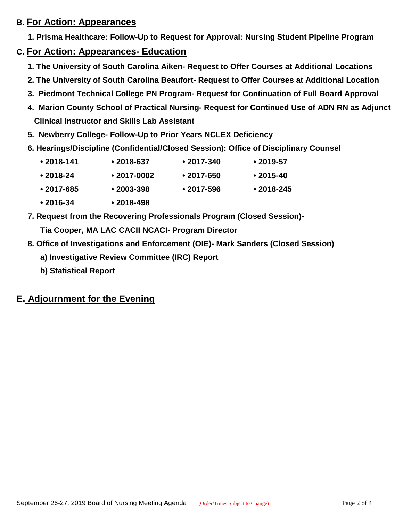### **B. For Action: Appearances**

 **1. Prisma Healthcare: Follow-Up to Request for Approval: Nursing Student Pipeline Program**

- **C. For Action: Appearances- Education**
	- **1. The University of South Carolina Aiken- Request to Offer Courses at Additional Locations**
	- **2. The University of South Carolina Beaufort- Request to Offer Courses at Additional Location**
	- **3. Piedmont Technical College PN Program- Request for Continuation of Full Board Approval**
	- **4. Marion County School of Practical Nursing- Request for Continued Use of ADN RN as Adjunct Clinical Instructor and Skills Lab Assistant**
	- **5. Newberry College- Follow-Up to Prior Years NCLEX Deficiency**
	- **6. Hearings/Discipline (Confidential/Closed Session): Office of Disciplinary Counsel**

| $• 2018 - 141$ | $• 2018 - 637$ | $\cdot$ 2017-340 | $\cdot$ 2019-57 |
|----------------|----------------|------------------|-----------------|
|                |                |                  |                 |

- **• 2018-24 • 2017-0002 • 2017-650 • 2015-40**
- **• 2017-685 • 2003-398 • 2017-596 • 2018-245**
- **• 2016-34 • 2018-498**
- **7. Request from the Recovering Professionals Program (Closed Session)-**

**Tia Cooper, MA LAC CACII NCACI- Program Director**

- **8. Office of Investigations and Enforcement (OIE)- Mark Sanders (Closed Session)**
	- **a) Investigative Review Committee (IRC) Report**
	- **b) Statistical Report**

## **E. Adjournment for the Evening**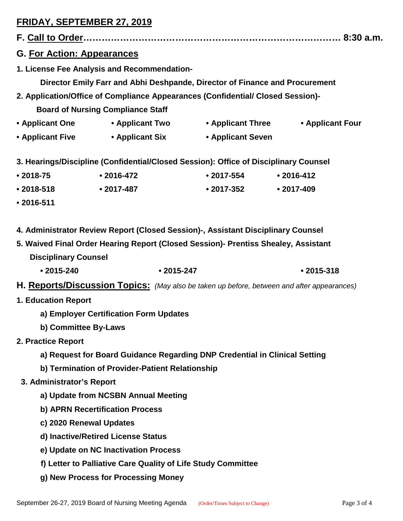# **FRIDAY, SEPTEMBER 27, 2019**

| <b>G. For Action: Appearances</b>                                                                                                                                                                     |                                                                                            |                                                                    |                |  |  |  |  |  |
|-------------------------------------------------------------------------------------------------------------------------------------------------------------------------------------------------------|--------------------------------------------------------------------------------------------|--------------------------------------------------------------------|----------------|--|--|--|--|--|
| 1. License Fee Analysis and Recommendation-                                                                                                                                                           |                                                                                            |                                                                    |                |  |  |  |  |  |
| Director Emily Farr and Abhi Deshpande, Director of Finance and Procurement                                                                                                                           |                                                                                            |                                                                    |                |  |  |  |  |  |
| 2. Application/Office of Compliance Appearances (Confidential/ Closed Session)-                                                                                                                       |                                                                                            |                                                                    |                |  |  |  |  |  |
|                                                                                                                                                                                                       | <b>Board of Nursing Compliance Staff</b>                                                   |                                                                    |                |  |  |  |  |  |
|                                                                                                                                                                                                       |                                                                                            | • Applicant One • Applicant Two • Applicant Three • Applicant Four |                |  |  |  |  |  |
|                                                                                                                                                                                                       |                                                                                            | • Applicant Five • Applicant Six • Applicant Seven                 |                |  |  |  |  |  |
| 3. Hearings/Discipline (Confidential/Closed Session): Office of Disciplinary Counsel                                                                                                                  |                                                                                            |                                                                    |                |  |  |  |  |  |
| $• 2018 - 75$                                                                                                                                                                                         | $\cdot$ 2016-472                                                                           | $\bullet$ 2017-554                                                 | $• 2016 - 412$ |  |  |  |  |  |
| $• 2018 - 518$                                                                                                                                                                                        | $\bullet$ 2017-487                                                                         | • 2017-352 • 2017-409                                              |                |  |  |  |  |  |
| $• 2016 - 511$                                                                                                                                                                                        |                                                                                            |                                                                    |                |  |  |  |  |  |
| 4. Administrator Review Report (Closed Session)-, Assistant Disciplinary Counsel<br>5. Waived Final Order Hearing Report (Closed Session)- Prentiss Shealey, Assistant<br><b>Disciplinary Counsel</b> |                                                                                            |                                                                    |                |  |  |  |  |  |
| $•2015 - 240$                                                                                                                                                                                         | $•2015 - 247$                                                                              |                                                                    | $• 2015 - 318$ |  |  |  |  |  |
|                                                                                                                                                                                                       | H. Reports/Discussion Topics: (May also be taken up before, between and after appearances) |                                                                    |                |  |  |  |  |  |
| <b>1. Education Report</b>                                                                                                                                                                            |                                                                                            |                                                                    |                |  |  |  |  |  |
| a) Employer Certification Form Updates                                                                                                                                                                |                                                                                            |                                                                    |                |  |  |  |  |  |
| b) Committee By-Laws                                                                                                                                                                                  |                                                                                            |                                                                    |                |  |  |  |  |  |
| 2. Practice Report                                                                                                                                                                                    |                                                                                            |                                                                    |                |  |  |  |  |  |
| a) Request for Board Guidance Regarding DNP Credential in Clinical Setting                                                                                                                            |                                                                                            |                                                                    |                |  |  |  |  |  |
| b) Termination of Provider-Patient Relationship                                                                                                                                                       |                                                                                            |                                                                    |                |  |  |  |  |  |
| 3. Administrator's Report                                                                                                                                                                             |                                                                                            |                                                                    |                |  |  |  |  |  |
| a) Update from NCSBN Annual Meeting                                                                                                                                                                   |                                                                                            |                                                                    |                |  |  |  |  |  |
| b) APRN Recertification Process                                                                                                                                                                       |                                                                                            |                                                                    |                |  |  |  |  |  |
| c) 2020 Renewal Updates                                                                                                                                                                               |                                                                                            |                                                                    |                |  |  |  |  |  |
|                                                                                                                                                                                                       | d) Inactive/Retired License Status                                                         |                                                                    |                |  |  |  |  |  |
| e) Update on NC Inactivation Process                                                                                                                                                                  |                                                                                            |                                                                    |                |  |  |  |  |  |
| f) Letter to Palliative Care Quality of Life Study Committee                                                                                                                                          |                                                                                            |                                                                    |                |  |  |  |  |  |
| g) New Process for Processing Money                                                                                                                                                                   |                                                                                            |                                                                    |                |  |  |  |  |  |